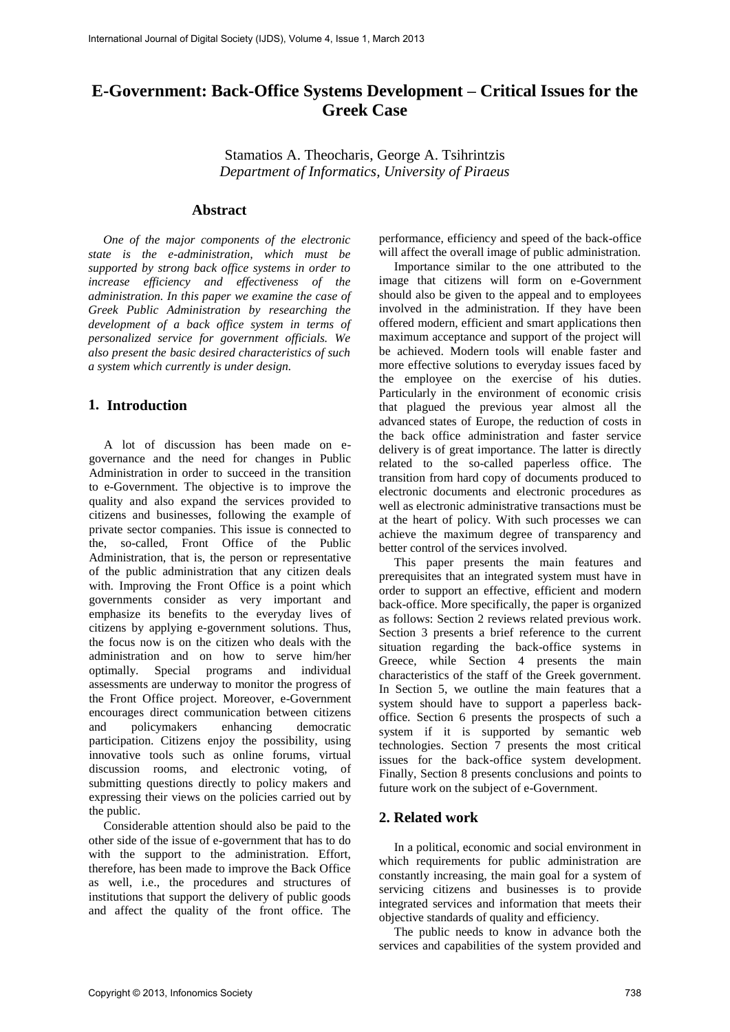# **E-Government: Back-Office Systems Development – Critical Issues for the Greek Case**

Stamatios A. Theocharis, George A. Tsihrintzis *Department of Informatics, University of Piraeus* 

### **Abstract**

*One of the major components of the electronic state is the e-administration, which must be supported by strong back office systems in order to increase efficiency and effectiveness of the administration. In this paper we examine the case of Greek Public Administration by researching the development of a back office system in terms of personalized service for government officials. We also present the basic desired characteristics of such a system which currently is under design.* 

#### **1. Introduction**

A lot of discussion has been made on egovernance and the need for changes in Public Administration in order to succeed in the transition to e-Government. The objective is to improve the quality and also expand the services provided to citizens and businesses, following the example of private sector companies. This issue is connected to the, so-called, Front Office of the Public Administration, that is, the person or representative of the public administration that any citizen deals with. Improving the Front Office is a point which governments consider as very important and emphasize its benefits to the everyday lives of citizens by applying e-government solutions. Thus, the focus now is on the citizen who deals with the administration and on how to serve him/her optimally. Special programs and individual assessments are underway to monitor the progress of the Front Office project. Moreover, e-Government encourages direct communication between citizens and policymakers enhancing democratic participation. Citizens enjoy the possibility, using innovative tools such as online forums, virtual discussion rooms, and electronic voting, of submitting questions directly to policy makers and expressing their views on the policies carried out by the public.

Considerable attention should also be paid to the other side of the issue of e-government that has to do with the support to the administration. Effort, therefore, has been made to improve the Back Office as well, i.e., the procedures and structures of institutions that support the delivery of public goods and affect the quality of the front office. The

performance, efficiency and speed of the back-office will affect the overall image of public administration.

Importance similar to the one attributed to the image that citizens will form on e-Government should also be given to the appeal and to employees involved in the administration. If they have been offered modern, efficient and smart applications then maximum acceptance and support of the project will be achieved. Modern tools will enable faster and more effective solutions to everyday issues faced by the employee on the exercise of his duties. Particularly in the environment of economic crisis that plagued the previous year almost all the advanced states of Europe, the reduction of costs in the back office administration and faster service delivery is of great importance. The latter is directly related to the so-called paperless office. The transition from hard copy of documents produced to electronic documents and electronic procedures as well as electronic administrative transactions must be at the heart of policy. With such processes we can achieve the maximum degree of transparency and better control of the services involved.

This paper presents the main features and prerequisites that an integrated system must have in order to support an effective, efficient and modern back-office. More specifically, the paper is organized as follows: Section 2 reviews related previous work. Section 3 presents a brief reference to the current situation regarding the back-office systems in Greece, while Section 4 presents the main characteristics of the staff of the Greek government. In Section 5, we outline the main features that a system should have to support a paperless backoffice. Section 6 presents the prospects of such a system if it is supported by semantic web technologies. Section 7 presents the most critical issues for the back-office system development. Finally, Section 8 presents conclusions and points to future work on the subject of e-Government.

#### **2. Related work**

In a political, economic and social environment in which requirements for public administration are constantly increasing, the main goal for a system of servicing citizens and businesses is to provide integrated services and information that meets their objective standards of quality and efficiency.

The public needs to know in advance both the services and capabilities of the system provided and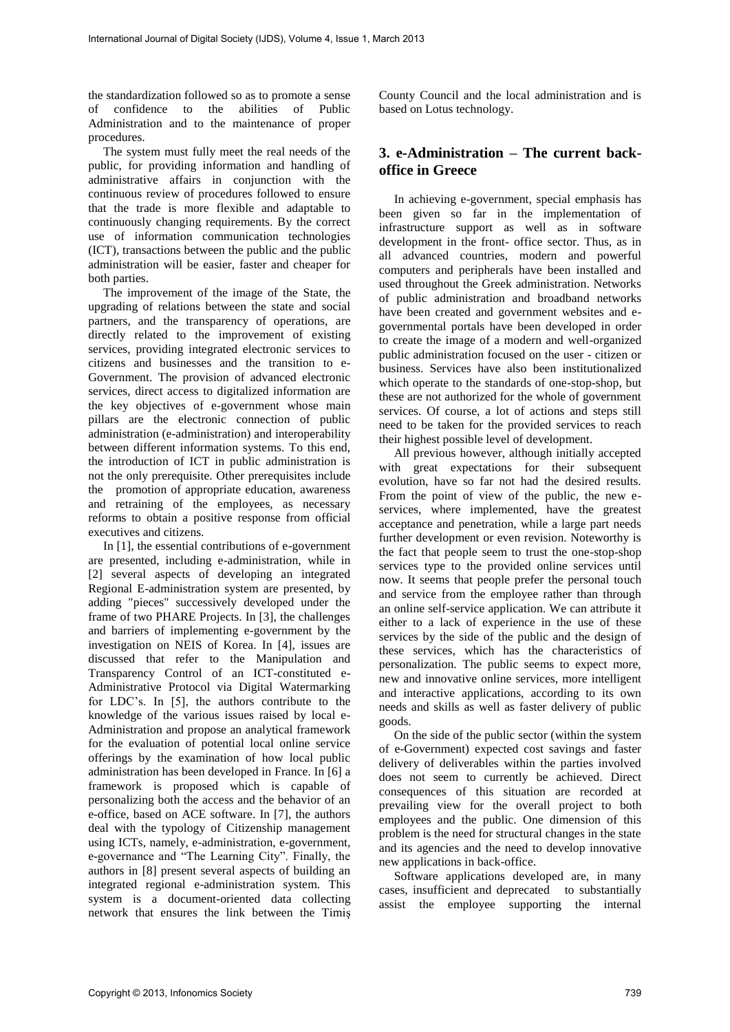the standardization followed so as to promote a sense of confidence to the abilities of Public Administration and to the maintenance of proper procedures.

The system must fully meet the real needs of the public, for providing information and handling of administrative affairs in conjunction with the continuous review of procedures followed to ensure that the trade is more flexible and adaptable to continuously changing requirements. By the correct use of information communication technologies (ICT), transactions between the public and the public administration will be easier, faster and cheaper for both parties.

The improvement of the image of the State, the upgrading of relations between the state and social partners, and the transparency of operations, are directly related to the improvement of existing services, providing integrated electronic services to citizens and businesses and the transition to e-Government. The provision of advanced electronic services, direct access to digitalized information are the key objectives of e-government whose main pillars are the electronic connection of public administration (e-administration) and interoperability between different information systems. To this end, the introduction of ICT in public administration is not the only prerequisite. Other prerequisites include the promotion of appropriate education, awareness and retraining of the employees, as necessary reforms to obtain a positive response from official executives and citizens.

In [1], the essential contributions of e-government are presented, including e-administration, while in [2] several aspects of developing an integrated Regional E-administration system are presented, by adding "pieces" successively developed under the frame of two PHARE Projects. In [3], the challenges and barriers of implementing e-government by the investigation on NEIS of Korea. In [4], issues are discussed that refer to the Manipulation and Transparency Control of an ICT-constituted e-Administrative Protocol via Digital Watermarking for LDC's. In [5], the authors contribute to the knowledge of the various issues raised by local e-Administration and propose an analytical framework for the evaluation of potential local online service offerings by the examination of how local public administration has been developed in France. In [6] a framework is proposed which is capable of personalizing both the access and the behavior of an e-office, based on ACE software. In [7], the authors deal with the typology of Citizenship management using ICTs, namely, e-administration, e-government, e-governance and "The Learning City". Finally, the authors in [8] present several aspects of building an integrated regional e-administration system. This system is a document-oriented data collecting network that ensures the link between the Timiş

County Council and the local administration and is based on Lotus technology.

# **3. e-Administration – The current backoffice in Greece**

In achieving e-government, special emphasis has been given so far in the implementation of infrastructure support as well as in software development in the front- office sector. Thus, as in all advanced countries, modern and powerful computers and peripherals have been installed and used throughout the Greek administration. Networks of public administration and broadband networks have been created and government websites and egovernmental portals have been developed in order to create the image of a modern and well-organized public administration focused on the user - citizen or business. Services have also been institutionalized which operate to the standards of one-stop-shop, but these are not authorized for the whole of government services. Of course, a lot of actions and steps still need to be taken for the provided services to reach their highest possible level of development.

All previous however, although initially accepted with great expectations for their subsequent evolution, have so far not had the desired results. From the point of view of the public, the new eservices, where implemented, have the greatest acceptance and penetration, while a large part needs further development or even revision. Noteworthy is the fact that people seem to trust the one-stop-shop services type to the provided online services until now. It seems that people prefer the personal touch and service from the employee rather than through an online self-service application. We can attribute it either to a lack of experience in the use of these services by the side of the public and the design of these services, which has the characteristics of personalization. The public seems to expect more, new and innovative online services, more intelligent and interactive applications, according to its own needs and skills as well as faster delivery of public goods.

On the side of the public sector (within the system of e-Government) expected cost savings and faster delivery of deliverables within the parties involved does not seem to currently be achieved. Direct consequences of this situation are recorded at prevailing view for the overall project to both employees and the public. One dimension of this problem is the need for structural changes in the state and its agencies and the need to develop innovative new applications in back-office.

Software applications developed are, in many cases, insufficient and deprecated to substantially assist the employee supporting the internal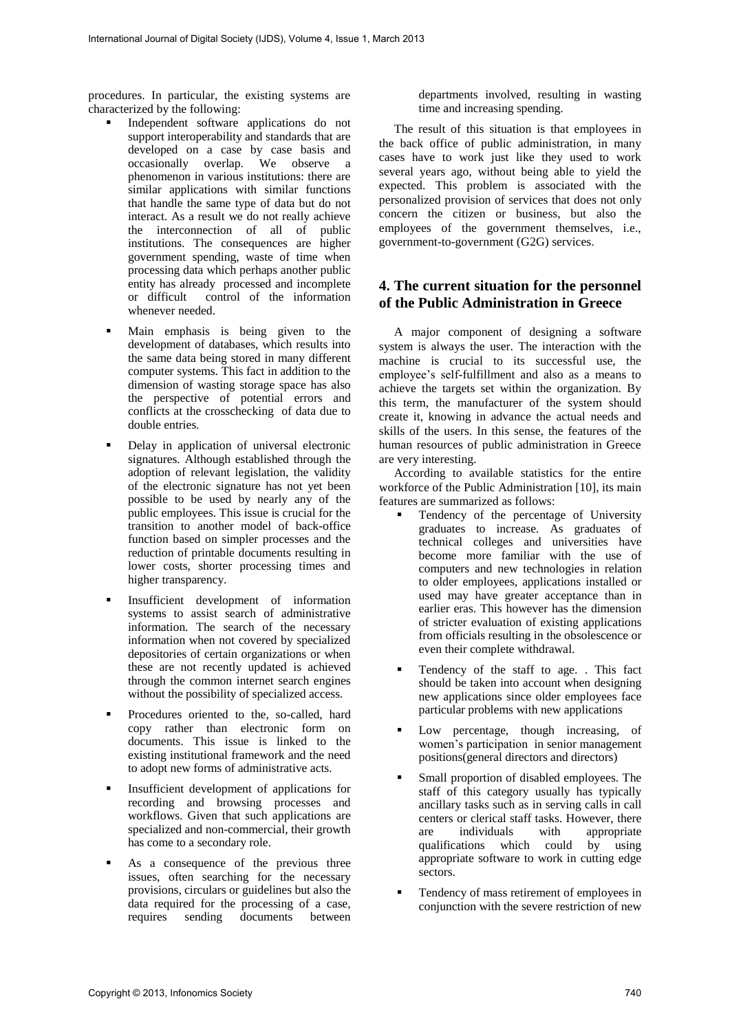procedures. In particular, the existing systems are characterized by the following:

- Independent software applications do not support interoperability and standards that are developed on a case by case basis and occasionally overlap. We observe a phenomenon in various institutions: there are similar applications with similar functions that handle the same type of data but do not interact. As a result we do not really achieve the interconnection of all of public institutions. The consequences are higher government spending, waste of time when processing data which perhaps another public entity has already processed and incomplete<br>or difficult control of the information control of the information whenever needed.
- Main emphasis is being given to the development of databases, which results into the same data being stored in many different computer systems. This fact in addition to the dimension of wasting storage space has also the perspective of potential errors and conflicts at the crosschecking of data due to double entries.
- Delay in application of universal electronic signatures. Although established through the adoption of relevant legislation, the validity of the electronic signature has not yet been possible to be used by nearly any of the public employees. This issue is crucial for the transition to another model of back-office function based on simpler processes and the reduction of printable documents resulting in lower costs, shorter processing times and higher transparency.
- Insufficient development of information systems to assist search of administrative information. The search of the necessary information when not covered by specialized depositories of certain organizations or when these are not recently updated is achieved through the common internet search engines without the possibility of specialized access.
- Procedures oriented to the, so-called, hard copy rather than electronic form on documents. This issue is linked to the existing institutional framework and the need to adopt new forms of administrative acts.
- Insufficient development of applications for recording and browsing processes and workflows. Given that such applications are specialized and non-commercial, their growth has come to a secondary role.
- As a consequence of the previous three issues, often searching for the necessary provisions, circulars or guidelines but also the data required for the processing of a case,<br>requires sending documents between sending documents between

departments involved, resulting in wasting time and increasing spending.

The result of this situation is that employees in the back office of public administration, in many cases have to work just like they used to work several years ago, without being able to yield the expected. This problem is associated with the personalized provision of services that does not only concern the citizen or business, but also the employees of the government themselves, i.e., government-to-government (G2G) services.

# **4. The current situation for the personnel of the Public Administration in Greece**

A major component of designing a software system is always the user. The interaction with the machine is crucial to its successful use, the employee's self-fulfillment and also as a means to achieve the targets set within the organization. By this term, the manufacturer of the system should create it, knowing in advance the actual needs and skills of the users. In this sense, the features of the human resources of public administration in Greece are very interesting.

According to available statistics for the entire workforce of the Public Administration [10], its main features are summarized as follows:

- Tendency of the percentage of University graduates to increase. As graduates of technical colleges and universities have become more familiar with the use of computers and new technologies in relation to older employees, applications installed or used may have greater acceptance than in earlier eras. This however has the dimension of stricter evaluation of existing applications from officials resulting in the obsolescence or even their complete withdrawal.
- Tendency of the staff to age. . This fact should be taken into account when designing new applications since older employees face particular problems with new applications
- Low percentage, though increasing, of women's participation in senior management positions(general directors and directors)
- Small proportion of disabled employees. The staff of this category usually has typically ancillary tasks such as in serving calls in call centers or clerical staff tasks. However, there are individuals with appropriate qualifications which could by using appropriate software to work in cutting edge sectors.
- Tendency of mass retirement of employees in conjunction with the severe restriction of new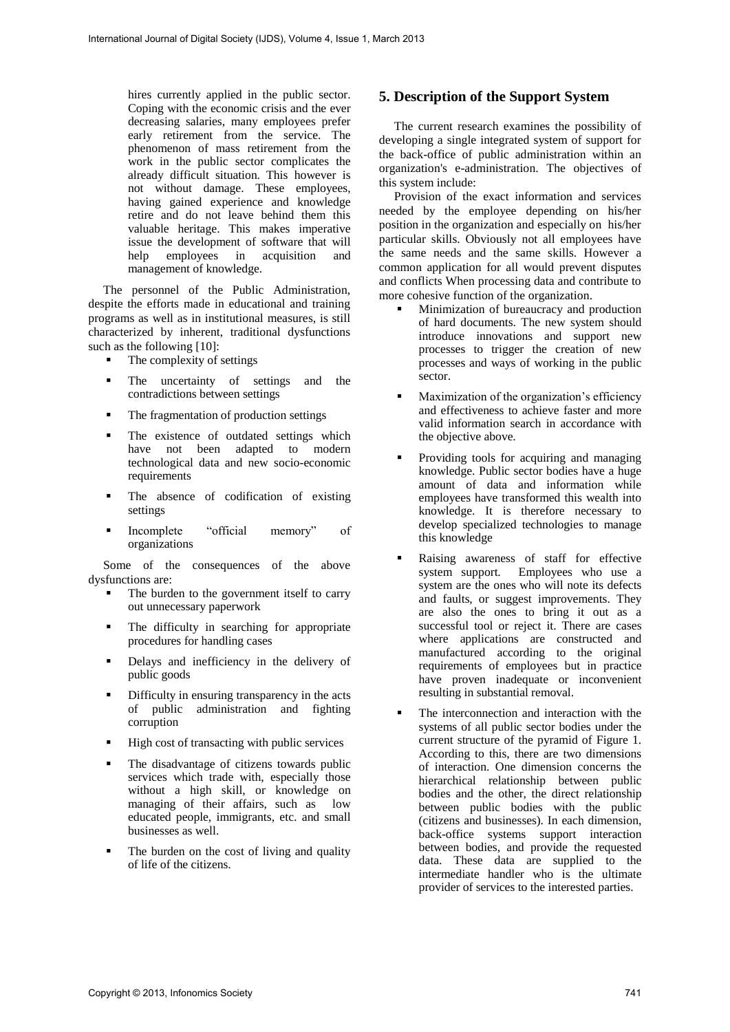hires currently applied in the public sector. Coping with the economic crisis and the ever decreasing salaries, many employees prefer early retirement from the service. The phenomenon of mass retirement from the work in the public sector complicates the already difficult situation. This however is not without damage. These employees, having gained experience and knowledge retire and do not leave behind them this valuable heritage. This makes imperative issue the development of software that will<br>help employees in acquisition and employees in management of knowledge.

The personnel of the Public Administration, despite the efforts made in educational and training programs as well as in institutional measures, is still characterized by inherent, traditional dysfunctions such as the following [10]:

- The complexity of settings
- The uncertainty of settings and the contradictions between settings
- The fragmentation of production settings
- The existence of outdated settings which have not been adapted to modern technological data and new socio-economic requirements
- The absence of codification of existing settings
- Incomplete "official memory" of organizations

Some of the consequences of the above dysfunctions are:

- The burden to the government itself to carry out unnecessary paperwork
- The difficulty in searching for appropriate procedures for handling cases
- Delays and inefficiency in the delivery of public goods
- Difficulty in ensuring transparency in the acts of public administration and fighting corruption
- High cost of transacting with public services
- The disadvantage of citizens towards public services which trade with, especially those without a high skill, or knowledge on managing of their affairs, such as low educated people, immigrants, etc. and small businesses as well.
- The burden on the cost of living and quality of life of the citizens.

# **5. Description of the Support System**

The current research examines the possibility of developing a single integrated system of support for the back-office of public administration within an organization's e-administration. The objectives of this system include:

Provision of the exact information and services needed by the employee depending on his/her position in the organization and especially on his/her particular skills. Obviously not all employees have the same needs and the same skills. However a common application for all would prevent disputes and conflicts When processing data and contribute to more cohesive function of the organization.

- Minimization of bureaucracy and production of hard documents. The new system should introduce innovations and support new processes to trigger the creation of new processes and ways of working in the public sector.
- Maximization of the organization's efficiency and effectiveness to achieve faster and more valid information search in accordance with the objective above.
- Providing tools for acquiring and managing knowledge. Public sector bodies have a huge amount of data and information while employees have transformed this wealth into knowledge. It is therefore necessary to develop specialized technologies to manage this knowledge
- Raising awareness of staff for effective system support. Employees who use a system are the ones who will note its defects and faults, or suggest improvements. They are also the ones to bring it out as a successful tool or reject it. There are cases where applications are constructed and manufactured according to the original requirements of employees but in practice have proven inadequate or inconvenient resulting in substantial removal.
- The interconnection and interaction with the systems of all public sector bodies under the current structure of the pyramid of Figure 1. According to this, there are two dimensions of interaction. One dimension concerns the hierarchical relationship between public bodies and the other, the direct relationship between public bodies with the public (citizens and businesses). In each dimension, back-office systems support interaction between bodies, and provide the requested data. These data are supplied to the intermediate handler who is the ultimate provider of services to the interested parties.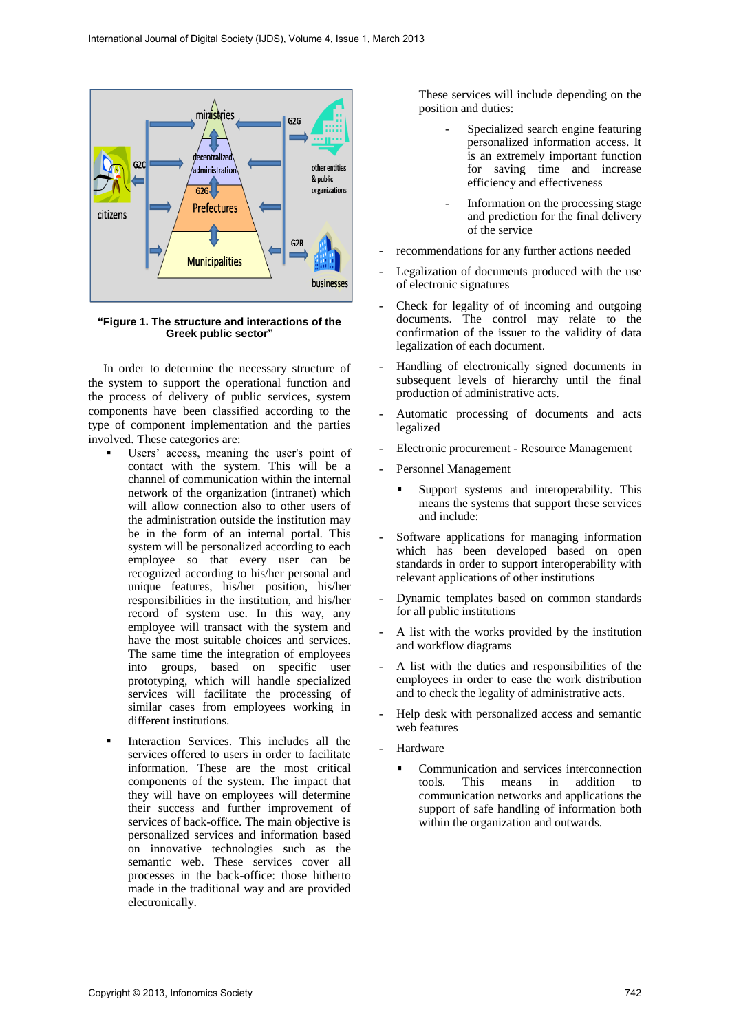

**"Figure 1. The structure and interactions of the Greek public sector"**

In order to determine the necessary structure of the system to support the operational function and the process of delivery of public services, system components have been classified according to the type of component implementation and the parties involved. These categories are:

- Users' access, meaning the user's point of contact with the system. This will be a channel of communication within the internal network of the organization (intranet) which will allow connection also to other users of the administration outside the institution may be in the form of an internal portal. This system will be personalized according to each employee so that every user can be recognized according to his/her personal and unique features, his/her position, his/her responsibilities in the institution, and his/her record of system use. In this way, any employee will transact with the system and have the most suitable choices and services. The same time the integration of employees into groups, based on specific user prototyping, which will handle specialized services will facilitate the processing of similar cases from employees working in different institutions.
- Interaction Services. This includes all the services offered to users in order to facilitate information. These are the most critical components of the system. The impact that they will have on employees will determine their success and further improvement of services of back-office. The main objective is personalized services and information based on innovative technologies such as the semantic web. These services cover all processes in the back-office: those hitherto made in the traditional way and are provided electronically.

These services will include depending on the position and duties:

- Specialized search engine featuring personalized information access. It is an extremely important function for saving time and increase efficiency and effectiveness
- Information on the processing stage and prediction for the final delivery of the service
- recommendations for any further actions needed
- Legalization of documents produced with the use of electronic signatures
- Check for legality of of incoming and outgoing documents. The control may relate to the confirmation of the issuer to the validity of data legalization of each document.
- Handling of electronically signed documents in subsequent levels of hierarchy until the final production of administrative acts.
- Automatic processing of documents and acts legalized
- Electronic procurement Resource Management
- Personnel Management
	- Support systems and interoperability. This means the systems that support these services and include:
- Software applications for managing information which has been developed based on open standards in order to support interoperability with relevant applications of other institutions
- Dynamic templates based on common standards for all public institutions
- A list with the works provided by the institution and workflow diagrams
- A list with the duties and responsibilities of the employees in order to ease the work distribution and to check the legality of administrative acts.
- Help desk with personalized access and semantic web features
- Hardware
	- Communication and services interconnection tools. This means in addition to communication networks and applications the support of safe handling of information both within the organization and outwards.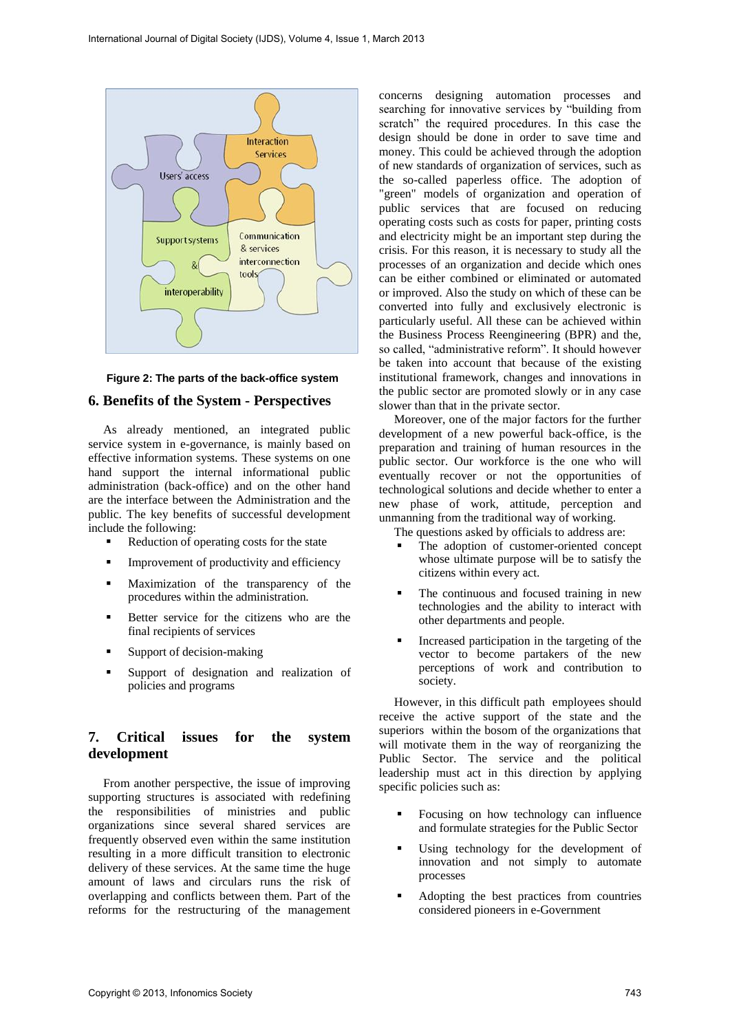

#### **Figure 2: The parts of the back-office system**

#### **6. Benefits of the System - Perspectives**

As already mentioned, an integrated public service system in e-governance, is mainly based on effective information systems. These systems on one hand support the internal informational public administration (back-office) and on the other hand are the interface between the Administration and the public. The key benefits of successful development include the following:

- Reduction of operating costs for the state
- **Improvement of productivity and efficiency**
- Maximization of the transparency of the procedures within the administration.
- Better service for the citizens who are the final recipients of services
- Support of decision-making
- Support of designation and realization of policies and programs

# **7. Critical issues for the system development**

From another perspective, the issue of improving supporting structures is associated with redefining the responsibilities of ministries and public organizations since several shared services are frequently observed even within the same institution resulting in a more difficult transition to electronic delivery of these services. At the same time the huge amount of laws and circulars runs the risk of overlapping and conflicts between them. Part of the reforms for the restructuring of the management

concerns designing automation processes and searching for innovative services by "building from scratch" the required procedures. In this case the design should be done in order to save time and money. This could be achieved through the adoption of new standards of organization of services, such as the so-called paperless office. The adoption of "green" models of organization and operation of public services that are focused on reducing operating costs such as costs for paper, printing costs and electricity might be an important step during the crisis. For this reason, it is necessary to study all the processes of an organization and decide which ones can be either combined or eliminated or automated or improved. Also the study on which of these can be converted into fully and exclusively electronic is particularly useful. All these can be achieved within the Business Process Reengineering (BPR) and the, so called, "administrative reform". It should however be taken into account that because of the existing institutional framework, changes and innovations in the public sector are promoted slowly or in any case slower than that in the private sector.

Moreover, one of the major factors for the further development of a new powerful back-office, is the preparation and training of human resources in the public sector. Our workforce is the one who will eventually recover or not the opportunities of technological solutions and decide whether to enter a new phase of work, attitude, perception and unmanning from the traditional way of working.

The questions asked by officials to address are:

- The adoption of customer-oriented concept whose ultimate purpose will be to satisfy the citizens within every act.
- The continuous and focused training in new technologies and the ability to interact with other departments and people.
- Increased participation in the targeting of the vector to become partakers of the new perceptions of work and contribution to society.

However, in this difficult path employees should receive the active support of the state and the superiors within the bosom of the organizations that will motivate them in the way of reorganizing the Public Sector. The service and the political leadership must act in this direction by applying specific policies such as:

- Focusing on how technology can influence and formulate strategies for the Public Sector
- Using technology for the development of innovation and not simply to automate processes
- Adopting the best practices from countries considered pioneers in e-Government